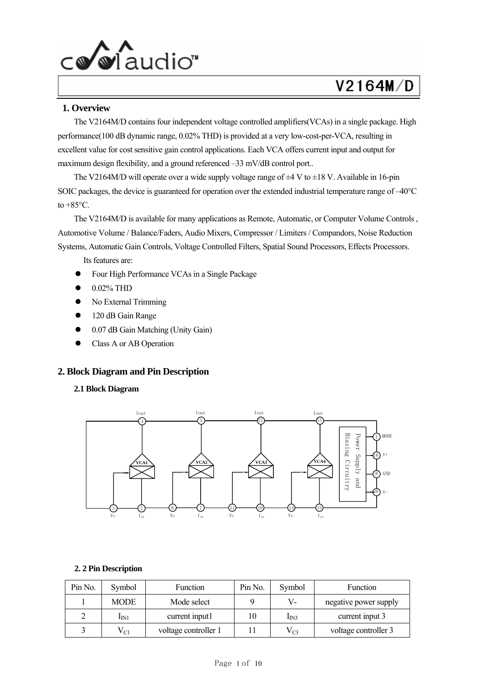

### **1. Overview**

The V2164M/D contains four independent voltage controlled amplifiers(VCAs) in a single package. High performance(100 dB dynamic range, 0.02% THD) is provided at a very low-cost-per-VCA, resulting in excellent value for cost sensitive gain control applications. Each VCA offers current input and output for maximum design flexibility, and a ground referenced -33 mV/dB control port..

The V2164M/D will operate over a wide supply voltage range of  $\pm 4$  V to  $\pm 18$  V. Available in 16-pin SOIC packages, the device is guaranteed for operation over the extended industrial temperature range of –40°C to  $+85^{\circ}$ C.

The V2164M/D is available for many applications as Remote, Automatic, or Computer Volume Controls , Automotive Volume / Balance/Faders, Audio Mixers, Compressor / Limiters / Compandors, Noise Reduction Systems, Automatic Gain Controls, Voltage Controlled Filters, Spatial Sound Processors, Effects Processors.

Its features are:

- Four High Performance VCAs in a Single Package
- 0.02% THD
- No External Trimming
- 120 dB Gain Range
- z 0.07 dB Gain Matching (Unity Gain)
- Class A or AB Operation

#### **2. Block Diagram and Pin Description**

#### **2.1 Block Diagram**



#### **2. 2 Pin Description**

| Pin No. | Symbol           | <b>Function</b>      | Pin No. | Symbol           | Function              |
|---------|------------------|----------------------|---------|------------------|-----------------------|
|         | <b>MODE</b>      | Mode select          |         | V-               | negative power supply |
|         | $I_{\text{IN1}}$ | current input1       |         | I <sub>IN3</sub> | current input 3       |
|         | ${\rm V_{C1}}$   | voltage controller 1 |         | $V_{C3}$         | voltage controller 3  |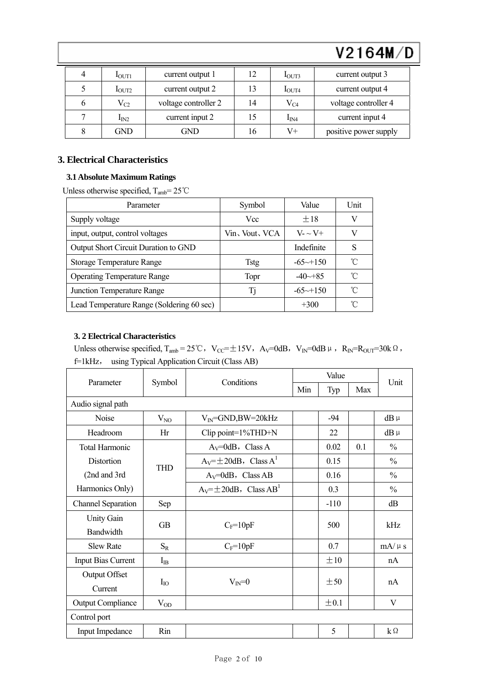|   | 1 <sub>OUT1</sub> | current output 1     | 12 | 1 <sub>OUT3</sub> | current output 3      |
|---|-------------------|----------------------|----|-------------------|-----------------------|
|   | 1 <sub>OUT2</sub> | current output 2     | 13 | 1 <sub>OUT4</sub> | current output 4      |
| n | $\rm V_{C2}$      | voltage controller 2 | 14 | $\rm V_{C4}$      | voltage controller 4  |
|   | $I_{IN2}$         | current input 2      | 15 | $I_{IN4}$         | current input 4       |
|   | GND               | GND                  | 16 | V+                | positive power supply |

# **3. Electrical Characteristics**

### **3.1 Absolute Maximum Ratings**

Unless otherwise specified,  $T_{amb} = 25^{\circ}$ C

| Parameter                                 | Symbol         | Value                  | Unit |
|-------------------------------------------|----------------|------------------------|------|
| Supply voltage                            | Vcc            | $+18$                  | V    |
| input, output, control voltages           | Vin, Vout, VCA | $V - V +$              | V    |
| Output Short Circuit Duration to GND      |                | Indefinite             | S    |
| Storage Temperature Range                 | <b>Tstg</b>    | $-65 \rightarrow +150$ | °C   |
| <b>Operating Temperature Range</b>        | Topr           | $-40 \rightarrow 85$   | °C   |
| Junction Temperature Range                | Ti             | $-65 \rightarrow +150$ | °C   |
| Lead Temperature Range (Soldering 60 sec) |                | $+300$                 | °C   |

### **3. 2 Electrical Characteristics**

Unless otherwise specified,  $T_{amb} = 25^{\circ}\text{C}$ ,  $V_{CC} = \pm 15\text{V}$ ,  $A_V = 0$ dB,  $V_{IN} = 0$ dB $\mu$ ,  $R_{IN} = R_{OUT} = 30\text{k}\Omega$ , f=1kHz, using Typical Application Circuit (Class AB)

| Parameter                       | Symbol     | Conditions                               | Value |        |     |               |  |
|---------------------------------|------------|------------------------------------------|-------|--------|-----|---------------|--|
|                                 |            |                                          | Min   | Typ    | Max | Unit          |  |
| Audio signal path               |            |                                          |       |        |     |               |  |
| Noise                           | $V_{NO}$   | $V_{IN}$ =GND,BW=20kHz                   |       | $-94$  |     | $dB \mu$      |  |
| Headroom                        | Hr         | Clip point= $1\%$ THD+N                  |       | 22     |     | $dB \mu$      |  |
| <b>Total Harmonic</b>           |            | $A_V = 0$ dB, Class A                    |       | 0.02   | 0.1 | $\frac{0}{0}$ |  |
| Distortion                      |            | $A_V = \pm 20$ dB, Class $A^1$           |       | 0.15   |     | $\frac{0}{0}$ |  |
| (2nd and 3rd                    | <b>THD</b> | $A_V = 0$ dB, Class AB                   |       | 0.16   |     | $\frac{0}{0}$ |  |
| Harmonics Only)                 |            | $A_V = \pm 20$ dB, Class AB <sup>1</sup> |       | 0.3    |     | $\frac{0}{0}$ |  |
| <b>Channel Separation</b>       | Sep        |                                          |       | $-110$ |     | dB            |  |
| <b>Unity Gain</b>               | <b>GB</b>  | $C_F = 10pF$                             |       | 500    |     | kHz           |  |
| Bandwidth                       |            |                                          |       |        |     |               |  |
| <b>Slew Rate</b>                | $S_{R}$    | $C_F = 10pF$                             |       | 0.7    |     | $mA/\mu s$    |  |
| <b>Input Bias Current</b>       | $I_{IB}$   |                                          |       | ±10    |     | nA            |  |
| <b>Output Offset</b><br>Current | $I_{IO}$   | $V_{IN}=0$                               |       | ±50    |     | nA            |  |
| <b>Output Compliance</b>        | $V_{OD}$   |                                          |       | ±0.1   |     | V             |  |
| Control port                    |            |                                          |       |        |     |               |  |
| Input Impedance                 | Rin        |                                          |       | 5      |     | $k\Omega$     |  |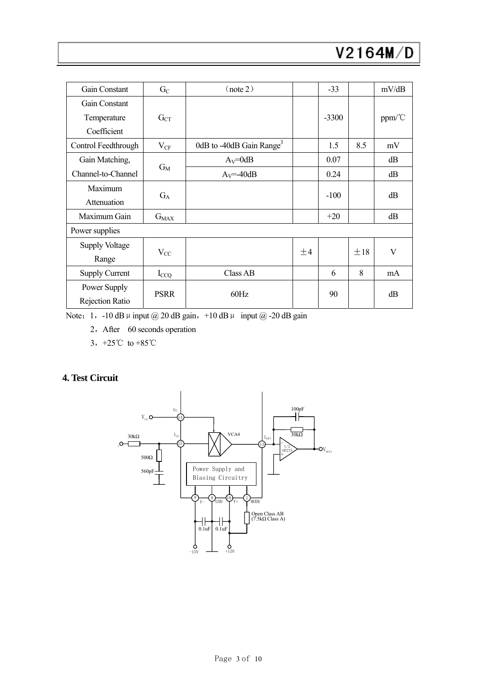| Gain Constant          | $G_{C}$     | (note 2)                             |    | $-33$   |     | mV/dB  |  |
|------------------------|-------------|--------------------------------------|----|---------|-----|--------|--|
| Gain Constant          |             |                                      |    |         |     |        |  |
| Temperature            | $G_{CT}$    |                                      |    | $-3300$ |     | ppm/°C |  |
| Coefficient            |             |                                      |    |         |     |        |  |
| Control Feedthrough    | $V_{CF}$    | 0dB to -40dB Gain Range <sup>3</sup> |    | 1.5     | 8.5 | mV     |  |
| Gain Matching,         |             | $A_V = 0dB$                          |    | 0.07    |     | dB     |  |
| Channel-to-Channel     | $G_M$       | $A_V = -40dB$                        |    | 0.24    |     | dB     |  |
| Maximum                | $G_A$       |                                      |    |         |     | dB     |  |
| Attenuation            |             |                                      |    | $-100$  |     |        |  |
| Maximum Gain           | $G_{MAX}$   |                                      |    | $+20$   |     | dB     |  |
| Power supplies         |             |                                      |    |         |     |        |  |
| Supply Voltage         |             |                                      |    |         |     | V      |  |
| Range                  | $V_{CC}$    |                                      | ±4 |         | ±18 |        |  |
| <b>Supply Current</b>  | $I_{CCQ}$   | Class AB                             |    | 6       | 8   | mA     |  |
| Power Supply           |             |                                      |    |         |     |        |  |
| <b>Rejection Ratio</b> | <b>PSRR</b> | 60Hz                                 |    | 90      |     | dB     |  |

Note: 1, -10 dB  $\mu$  input @ 20 dB gain, +10 dB  $\mu$  input @ -20 dB gain

2,After 60 seconds operation

3,+25℃ to +85℃

# **4. Test Circuit**

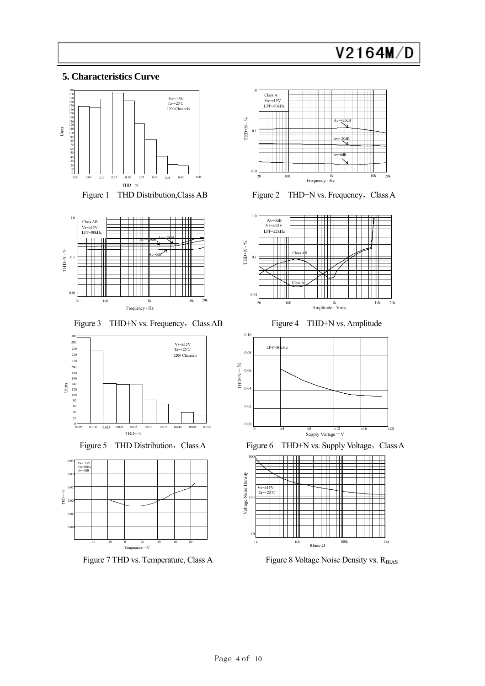# **5. Characteristics Curve**



Figure 1 THD Distribution, Class AB



Figure 3 THD+N vs. Frequency, Class AB Figure 4 THD+N vs. Amplitude







Figure 7 THD vs. Temperature, Class A Figure 8 Voltage Noise Density vs. R<sub>BIAS</sub>



Figure 2 THD+N vs. Frequency, Class A





Figure 5 THD Distribution, Class A Figure 6 THD+N vs. Supply Voltage, Class A

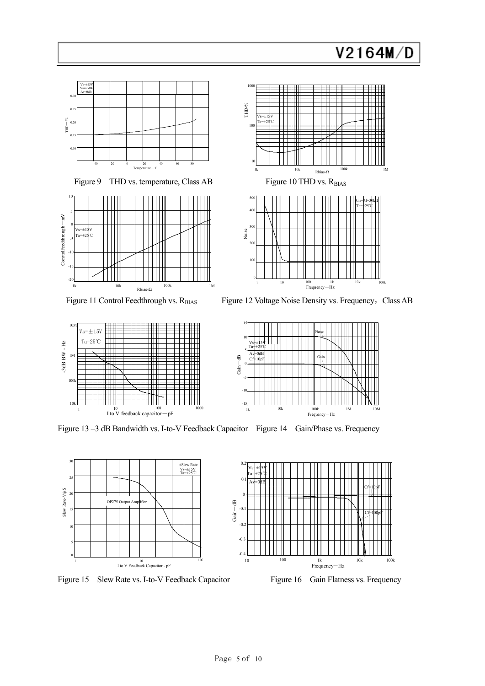

0 Gain -5

5 10 Ta=+25℃  $Vs \neq \pm 15V$ Av=0dB Cf=10pF

-dB

 $-1$ 

-10

1k 10k 100k 1M

Frequency-Hz

Phase

Gain

10M

15

Figure 13 –3 dB Bandwidth vs. I-to-V Feedback Capacitor Figure 14 Gain/Phase vs. Frequency



Figure 15 Slew Rate vs. I-to-V Feedback Capacitor Figure 16 Gain Flatness vs. Frequency

<sup>10</sup> <sup>100</sup> <sup>100</sup> <sup>1000</sup><br>I to V feedback capacitor-pF

 $Vs=\pm 15V$ Ta=25℃

10k

100k

1M

-3dB BW - Hz

-3dB BW -  $\rm Hz$ 

 $10$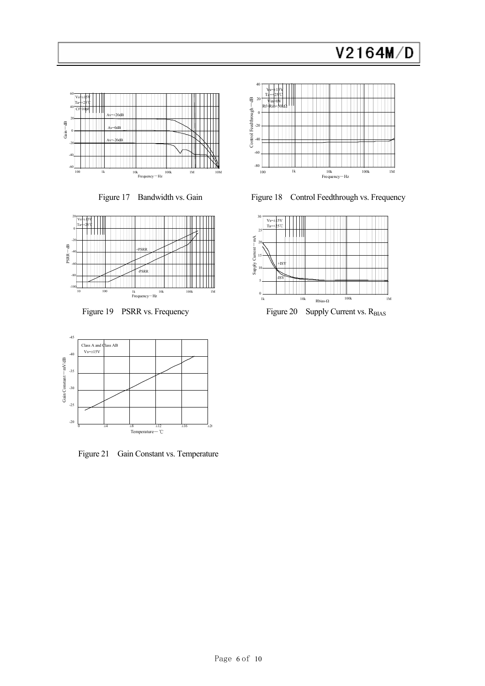







Figure 21 Gain Constant vs. Temperature



Figure 17 Bandwidth vs. Gain Figure 18 Control Feedthrough vs. Frequency

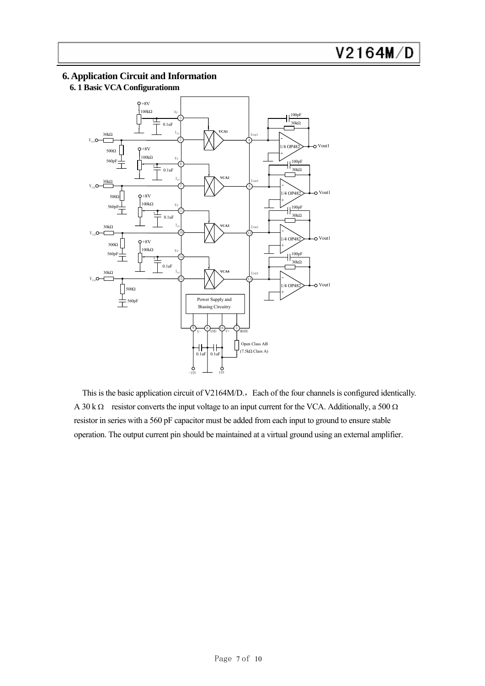### **6. Application Circuit and Information**

# **6. 1 Basic VCA Configurationm**



This is the basic application circuit of V2164M/D., Each of the four channels is configured identically. A 30 k  $\Omega$  resistor converts the input voltage to an input current for the VCA. Additionally, a 500  $\Omega$ resistor in series with a 560 pF capacitor must be added from each input to ground to ensure stable operation. The output current pin should be maintained at a virtual ground using an external amplifier.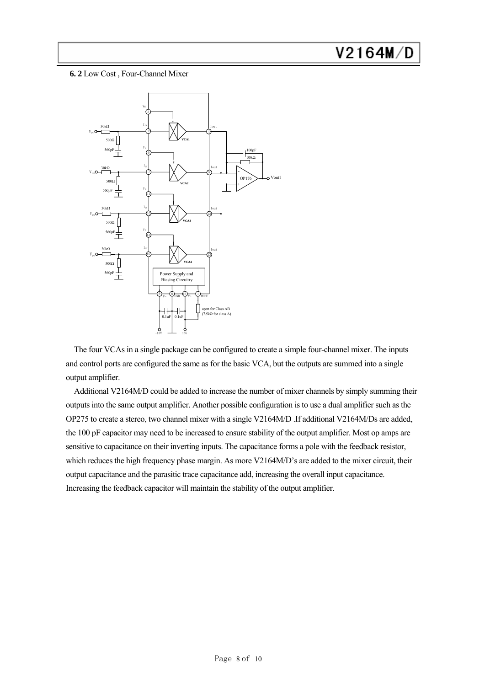**6. 2** Low Cost , Four-Channel Mixer



The four VCAs in a single package can be configured to create a simple four-channel mixer. The inputs and control ports are configured the same as for the basic VCA, but the outputs are summed into a single output amplifier.

Additional V2164M/D could be added to increase the number of mixer channels by simply summing their outputs into the same output amplifier. Another possible configuration is to use a dual amplifier such as the OP275 to create a stereo, two channel mixer with a single V2164M/D .If additional V2164M/Ds are added, the 100 pF capacitor may need to be increased to ensure stability of the output amplifier. Most op amps are sensitive to capacitance on their inverting inputs. The capacitance forms a pole with the feedback resistor, which reduces the high frequency phase margin. As more V2164M/D's are added to the mixer circuit, their output capacitance and the parasitic trace capacitance add, increasing the overall input capacitance. Increasing the feedback capacitor will maintain the stability of the output amplifier.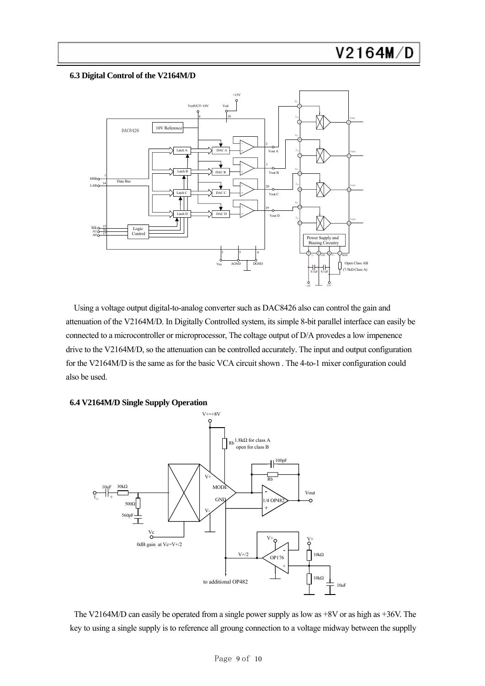#### **6.3 Digital Control of the V2164M/D**



Using a voltage output digital-to-analog converter such as DAC8426 also can control the gain and attenuation of the V2164M/D. In Digitally Controlled system, its simple 8-bit parallel interface can easily be connected to a microcontroller or microprocessor, The coltage output of D/A provedes a low impenence drive to the V2164M/D, so the attenuation can be controlled accurately. The input and output configuration for the V2164M/D is the same as for the basic VCA circuit shown . The 4-to-1 mixer configuration could also be used.





The V2164M/D can easily be operated from a single power supply as low as +8V or as high as +36V. The key to using a single supply is to reference all groung connection to a voltage midway between the supplly